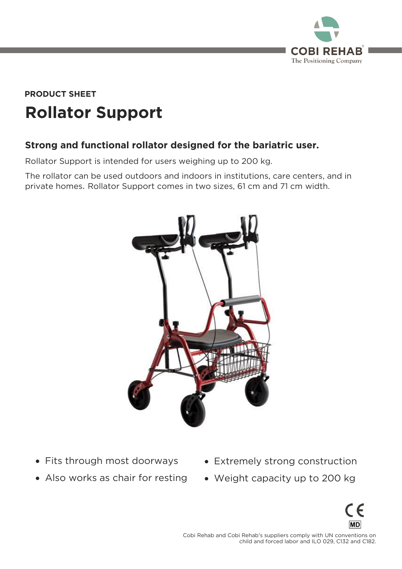

# **Rollator Support PRODUCT SHEET**

# **Strong and functional rollator designed for the bariatric user.**

Rollator Support is intended for users weighing up to 200 kg.<br>The rollator can be used outdoors and indoors in institutions, care centers, and in private homes. Rollator Support comes in two sizes, 61 cm and 71 cm width. private homes. Rollator Support comes in two sizes, 61 cm and 71 cm width.



- Fits through most doorways
- Also works as chair for resting
- Extremely strong construction
- Weight capacity up to 200 kg



 $\frac{1}{2}$  child and forced labor and II O 029 C132 and C182 child and forced labor and ILO 029, C132 and C132 and C132 and C132 and C182.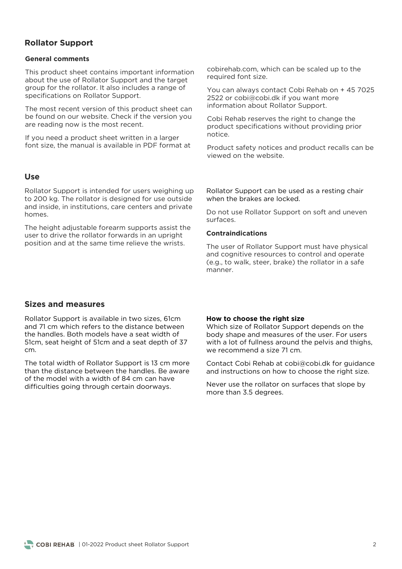# **Rollator Support**

#### **General comments**

This product sheet contains important information about the use of Rollator Support and the target group for the rollator. It also includes a range of group<br>specifications on Rollator Support specifications on Rollator Support.

The most recent version of this product sheet can<br>be found on our website. Check if the version you are reading now is the most recent. are reading now is the most recent.

If you need a product sheet written in a larger<br>font size, the manual is available in PDF format at font size, the manual is available in PDF format at

#### **Use**

Rollator Support is intended for users weighing up<br>to 200 kg. The rollator is designed for use outside and inside in institutions care centers and private and inside in institutions, care centers and private centers and private centers and private centers and private  $\frac{1}{2}$ 

The height adjustable forearm supports assist the user to drive the rollator forwards in an upright position and at the same time relieve the wrists. position and at the same time relieve the wrists.

cobirehab.com, which can be scaled up to the required font size.

You can always contact Cobi Rehab on + 45 7025<br>2522 or cobi@cobi.dk if you want more  $\frac{1}{2}$  information about Rollator Support information about Rollator Support.

product specifications without providing prior product specifications with providing providing providing providing providing providing providing providing pr<br>Providing providing providing providing providing providing providing providing providing providing providing

Product safety notices and product recalls can be viewed on the website.

Rollator Support can be used as a resting chair when the brakes are locked.

Do not use Rollator Support on soft and uneven<br>surfaces.

#### **Contraindications**

The user of Rollator Support must have physical<br>and cognitive resources to control and operate  $\alpha$  and  $\alpha$  is control and  $\alpha$  is control and  $\alpha$  is control and  $\alpha$  is control and  $\alpha$  is control and  $\alpha$  is control and  $\alpha$  is control and  $\alpha$  is control and  $\alpha$  is control and  $\alpha$  is control and  $\alpha$  is cont  $m$ anner

# **Sizes and measures**

Rollator Support is available in two sizes, 61cm the handles. Both models have a seat width of  $\frac{1}{2}$  flcm seat height of  $\frac{1}{2}$  flcm and a seat denth of  $\frac{1}{2}$  $\frac{1}{2}$ cm.

The total width of Rollator Support is 13 cm more than the distance between the handles. Be aware of the model with a width of 84 cm can have difficulties going through certain doorways. difficulties going through certain doorways.

#### **How to choose the right size**

Which size of Rollator Support depends on the body shape and measures of the user. For users with a lot of fullness around the pelvis and thighs, we recommend a size 71 cm. we recommend a size 71 cm.

 $\overline{C}$  and instructions on how to choose the right size and instructions on how to choose the right size.

Never use the rollator on surfaces that slope by more than 3.5 degrees. more than 3.5 degrees.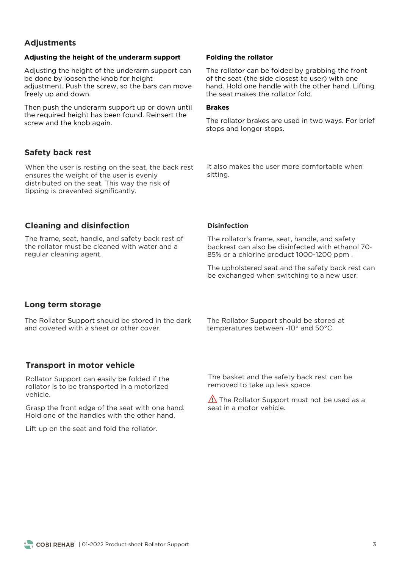# **Adjustments**

#### **Adjusting the height of the underarm support**

Adjusting the height of the underarm support can<br>be done by loosen the knob for height adjustment. Push the screw, so the bars can move freely up and down.  $f(x, y)$  and down.

Then push the underarm support up or down until<br>the required height has been found. Reinsert the screw and the knob again. screw and the knob again.

# **Safety back rest**

When the user is resting on the seat, the back rest ensures the weight of the user is evenly distributed on the seat. This way the risk of tipping is prevented significantly. tipping is prevented significantly.

#### **Folding the rollator**

The rollator can be folded by grabbing the front of the seat (the side closest to user) with one hand. Hold one handle with the other hand. Lifting the seat makes the rollator fold. the seat makes the rollator fold.

#### **Brakes**

stons and longer stons stops and longer stops.

It also makes the user more comfortable when<br>sitting. sitting.

# **Cleaning and disinfection**

The frame, seat, handle, and safety back rest of the rollator must be cleaned with water and a regular cleaning agent. regular cleaning agent.

#### **Disinfection**

The rollator's frame, seat, handle, and safety backress can also be also because with ethanol 70-85% or a chlorine product 1000-1200 ppm .

The upholstered seat and the safety back rest can<br>be exchanged when switching to a new user. be exchanged when switching to a new user.

# **Long term storage**

The Rollator Support should be stored in the dark<br>and covered with a sheet or other cover.

The Rollator Support should be stored at temperatures between -10° and 50°C. temperatures between -10° and 50°C.

# **Transport in motor vehicle**

Rollator Support can easily be folded if the vehicle.

Grasp the front edge of the seat with one hand.<br>Hold one of the handles with the other hand.

Lift up on the seat and fold the rollator.

removed to take un less space removed to take up less space.

 $\triangle$  The Rollator Support must not be used as a seat in a motor vehicle.